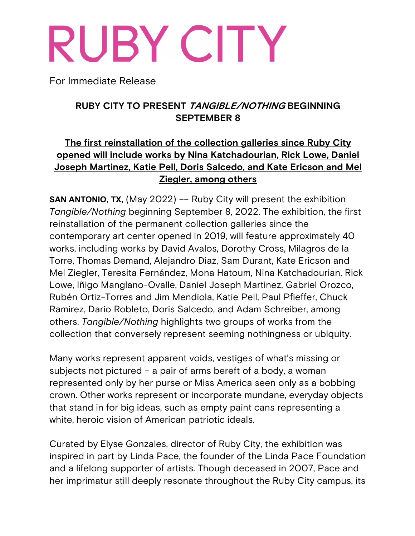# RUBY CITY

For Immediate Release

## **RUBY CITY TO PRESENT TANGIBLE/NOTHING BEGINNING SEPTEMBER 8**

# **The first reinstallation of the collection galleries since Ruby City opened will include works by Nina Katchadourian, Rick Lowe, Daniel Joseph Martinez, Katie Pell, Doris Salcedo, and Kate Ericson and Mel Ziegler, among others**

**SAN ANTONIO, TX, (May 2022) -- Ruby City will present the exhibition** *Tangible/Nothing* beginning September 8, 2022. The exhibition, the first reinstallation of the permanent collection galleries since the contemporary art center opened in 2019, will feature approximately 40 works, including works by David Avalos, Dorothy Cross, Milagros de la Torre, Thomas Demand, Alejandro Diaz, Sam Durant, Kate Ericson and Mel Ziegler, Teresita Fernández, Mona Hatoum, Nina Katchadourian, Rick Lowe, Iñigo Manglano-Ovalle, Daniel Joseph Martinez, Gabriel Orozco, Rubén Ortiz-Torres and Jim Mendiola, Katie Pell, Paul Pfieffer, Chuck Ramirez, Dario Robleto, Doris Salcedo, and Adam Schreiber, among others. *Tangible/Nothing* highlights two groups of works from the collection that conversely represent seeming nothingness or ubiquity.

Many works represent apparent voids, vestiges of what's missing or subjects not pictured – a pair of arms bereft of a body, a woman represented only by her purse or Miss America seen only as a bobbing crown. Other works represent or incorporate mundane, everyday objects that stand in for big ideas, such as empty paint cans representing a white, heroic vision of American patriotic ideals.

Curated by Elyse Gonzales, director of Ruby City, the exhibition was inspired in part by Linda Pace, the founder of the Linda Pace Foundation and a lifelong supporter of artists. Though deceased in 2007, Pace and her imprimatur still deeply resonate throughout the Ruby City campus, its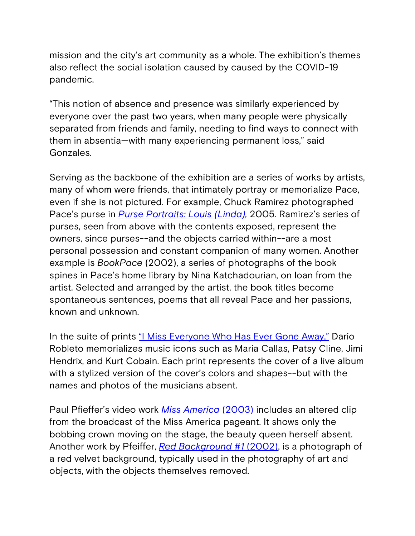mission and the city's art community as a whole. The exhibition's themes also reflect the social isolation caused by caused by the COVID-19 pandemic.

"This notion of absence and presence was similarly experienced by everyone over the past two years, when many people were physically separated from friends and family, needing to find ways to connect with them in absentia—with many experiencing permanent loss," said Gonzales.

Serving as the backbone of the exhibition are a series of works by artists, many of whom were friends, that intimately portray or memorialize Pace, even if she is not pictured. For example, Chuck Ramirez photographed Pace's purse in *Purse Portraits: Louis (Linda),* 2005. Ramirez's series of purses, seen from above with the contents exposed, represent the owners, since purses--and the objects carried within--are a most personal possession and constant companion of many women. Another example is *BookPace* (2002), a series of photographs of the book spines in Pace's home library by Nina Katchadourian, on loan from the artist. Selected and arranged by the artist, the book titles become spontaneous sentences, poems that all reveal Pace and her passions, known and unknown.

In the suite of prints <u>"I Miss Everyone Who Has Ever Gone Away</u>," Dario Robleto memorializes music icons such as Maria Callas, Patsy Cline, Jimi Hendrix, and Kurt Cobain. Each print represents the cover of a live album with a stylized version of the cover's colors and shapes--but with the names and photos of the musicians absent.

Paul Pfieffer's video work *Miss America* (2003) includes an altered clip from the broadcast of the Miss America pageant. It shows only the bobbing crown moving on the stage, the beauty queen herself absent. Another work by Pfeiffer, *Red Background #1* (2002), is a photograph of a red velvet background, typically used in the photography of art and objects, with the objects themselves removed.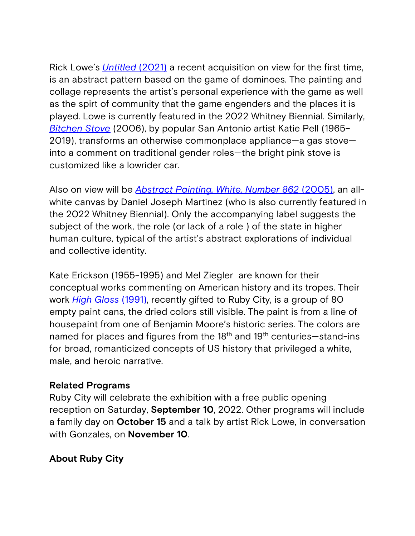Rick Lowe's *Untitled* (2021) a recent acquisition on view for the first time, is an abstract pattern based on the game of dominoes. The painting and collage represents the artist's personal experience with the game as well as the spirt of community that the game engenders and the places it is played. Lowe is currently featured in the 2022 Whitney Biennial. Similarly, *Bitchen Stove* (2006), by popular San Antonio artist Katie Pell (1965– 2019), transforms an otherwise commonplace appliance—a gas stove into a comment on traditional gender roles—the bright pink stove is customized like a lowrider car.

Also on view will be *Abstract Painting, White, Number 862* (2005), an allwhite canvas by Daniel Joseph Martinez (who is also currently featured in the 2022 Whitney Biennial). Only the accompanying label suggests the subject of the work, the role (or lack of a role ) of the state in higher human culture, typical of the artist's abstract explorations of individual and collective identity.

Kate Erickson (1955-1995) and Mel Ziegler are known for their conceptual works commenting on American history and its tropes. Their work *High Gloss* (1991), recently gifted to Ruby City, is a group of 80 empty paint cans, the dried colors still visible. The paint is from a line of housepaint from one of Benjamin Moore's historic series. The colors are named for places and figures from the 18<sup>th</sup> and 19<sup>th</sup> centuries—stand-ins for broad, romanticized concepts of US history that privileged a white, male, and heroic narrative.

#### **Related Programs**

Ruby City will celebrate the exhibition with a free public opening reception on Saturday, **September 10**, 2022. Other programs will include a family day on **October 15** and a talk by artist Rick Lowe, in conversation with Gonzales, on **November 10**.

## **About Ruby City**